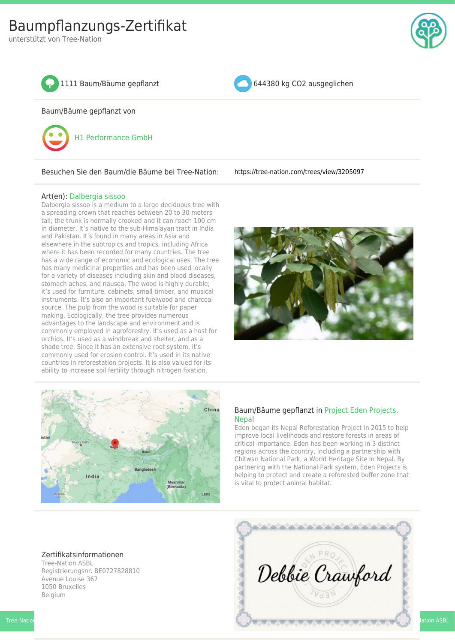unterstützt von Tree-Nation





Baum/Bäume gepflanzt von



Besuchen Sie den Baum/die Bäume bei Tree-Nation: <https://tree-nation.com/trees/view/3205097>

## Art(en): [Dalbergia sissoo](https://tree-nation.com/projects/eden-reforestation-nepal/species)

Dalbergia sissoo is a medium to a large deciduous tree with a spreading crown that reaches between 20 to 30 meters tall; the trunk is normally crooked and it can reach 100 cm in diameter. It's native to the sub-Himalayan tract in India and Pakistan. It's found in many areas in Asia and elsewhere in the subtropics and tropics, including Africa where it has been recorded for many countries. The tree has a wide range of economic and ecological uses. The tree has many medicinal properties and has been used locally for a variety of diseases including skin and blood diseases, stomach aches, and nausea. The wood is highly durable; it's used for furniture, cabinets, small timber, and musical instruments. It's also an important fuelwood and charcoal source. The pulp from the wood is suitable for paper making. Ecologically, the tree provides numerous advantages to the landscape and environment and is commonly employed in agroforestry. It's used as a host for orchids. It's used as a windbreak and shelter, and as a shade tree. Since it has an extensive root system, it's commonly used for erosion control. It's used in its native countries in reforestation projects. It is also valued for its ability to increase soil fertility through nitrogen fixation.





## Baum/Bäume gepflanzt in [Project Eden Projects,](https://tree-nation.com/projects/eden-reforestation-nepal/updates) [Nepal](https://tree-nation.com/projects/eden-reforestation-nepal/updates)

Eden began its Nepal Reforestation Project in 2015 to help improve local livelihoods and restore forests in areas of critical importance. Eden has been working in 3 distinct regions across the country, including a partnership with Chitwan National Park, a World Heritage Site in Nepal. By partnering with the National Park system, Eden Projects is helping to protect and create a reforested buffer zone that is vital to protect animal habitat.

## Zertifikatsinformationen

Tree-Nation ASBL Registrierungsnr. BE0727828810 Avenue Louise 367 1050 Bruxelles Belgium